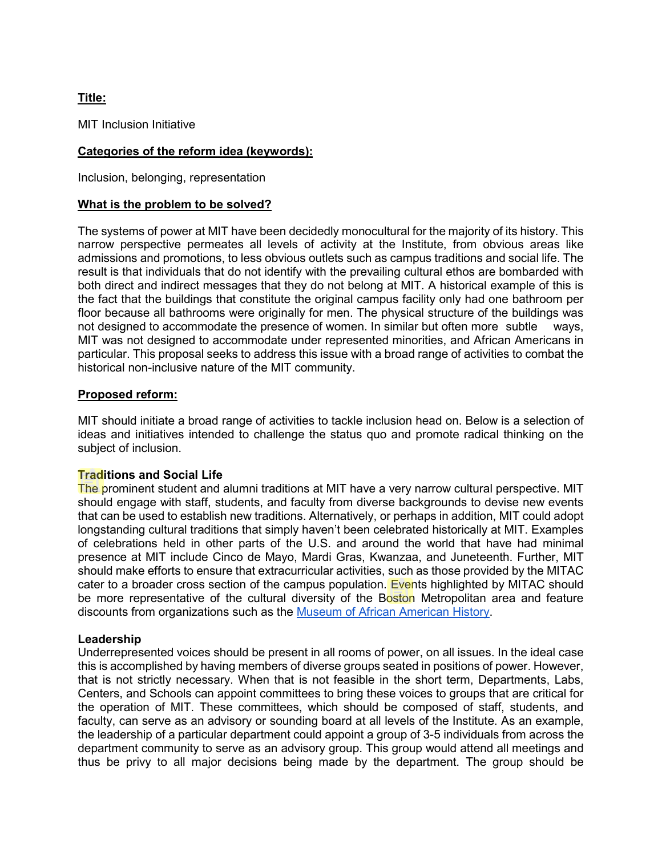# **Title:**

MIT Inclusion Initiative

# **Categories of the reform idea (keywords):**

Inclusion, belonging, representation

#### **What is the problem to be solved?**

The systems of power at MIT have been decidedly monocultural for the majority of its history. This narrow perspective permeates all levels of activity at the Institute, from obvious areas like admissions and promotions, to less obvious outlets such as campus traditions and social life. The result is that individuals that do not identify with the prevailing cultural ethos are bombarded with both direct and indirect messages that they do not belong at MIT. A historical example of this is the fact that the buildings that constitute the original campus facility only had one bathroom per floor because all bathrooms were originally for men. The physical structure of the buildings was not designed to accommodate the presence of women. In similar but often more subtle ways, MIT was not designed to accommodate under represented minorities, and African Americans in particular. This proposal seeks to address this issue with a broad range of activities to combat the historical non-inclusive nature of the MIT community.

#### **Proposed reform:**

MIT should initiate a broad range of activities to tackle inclusion head on. Below is a selection of ideas and initiatives intended to challenge the status quo and promote radical thinking on the subject of inclusion.

#### **Traditions and Social Life**

The prominent student and alumni traditions at MIT have a very narrow cultural perspective. MIT should engage with staff, students, and faculty from diverse backgrounds to devise new events that can be used to establish new traditions. Alternatively, or perhaps in addition, MIT could adopt longstanding cultural traditions that simply haven't been celebrated historically at MIT. Examples of celebrations held in other parts of the U.S. and around the world that have had minimal presence at MIT include Cinco de Mayo, Mardi Gras, Kwanzaa, and Juneteenth. Further, MIT should make efforts to ensure that extracurricular activities, such as those provided by the MITAC cater to a broader cross section of the campus population. Events highlighted by MITAC should be more representative of the cultural diversity of the Boston Metropolitan area and feature discounts from organizations such as the [Museum of African American History.](https://www.maah.org/)

#### **Leadership**

Underrepresented voices should be present in all rooms of power, on all issues. In the ideal case this is accomplished by having members of diverse groups seated in positions of power. However, that is not strictly necessary. When that is not feasible in the short term, Departments, Labs, Centers, and Schools can appoint committees to bring these voices to groups that are critical for the operation of MIT. These committees, which should be composed of staff, students, and faculty, can serve as an advisory or sounding board at all levels of the Institute. As an example, the leadership of a particular department could appoint a group of 3-5 individuals from across the department community to serve as an advisory group. This group would attend all meetings and thus be privy to all major decisions being made by the department. The group should be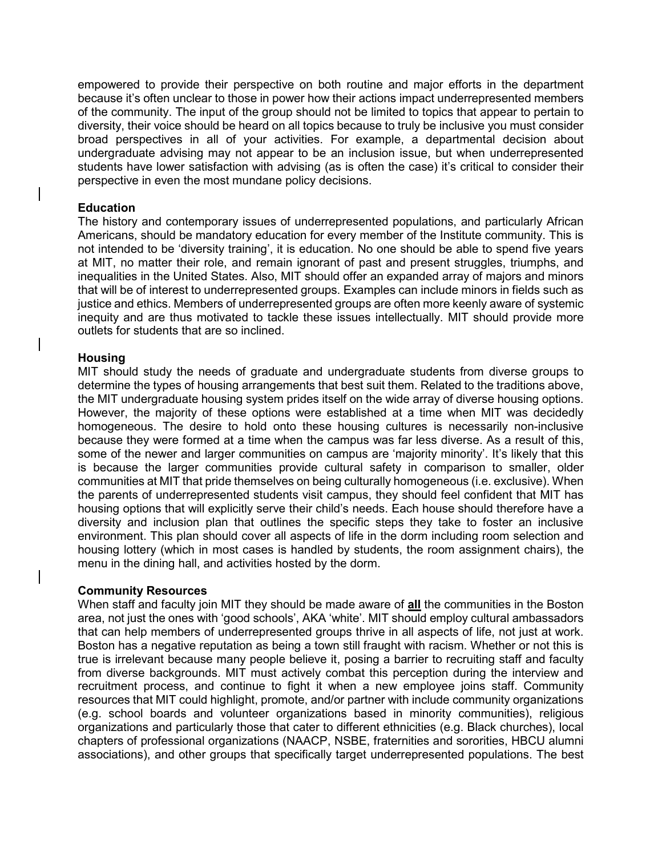empowered to provide their perspective on both routine and major efforts in the department because it's often unclear to those in power how their actions impact underrepresented members of the community. The input of the group should not be limited to topics that appear to pertain to diversity, their voice should be heard on all topics because to truly be inclusive you must consider broad perspectives in all of your activities. For example, a departmental decision about undergraduate advising may not appear to be an inclusion issue, but when underrepresented students have lower satisfaction with advising (as is often the case) it's critical to consider their perspective in even the most mundane policy decisions.

### **Education**

The history and contemporary issues of underrepresented populations, and particularly African Americans, should be mandatory education for every member of the Institute community. This is not intended to be 'diversity training', it is education. No one should be able to spend five years at MIT, no matter their role, and remain ignorant of past and present struggles, triumphs, and inequalities in the United States. Also, MIT should offer an expanded array of majors and minors that will be of interest to underrepresented groups. Examples can include minors in fields such as justice and ethics. Members of underrepresented groups are often more keenly aware of systemic inequity and are thus motivated to tackle these issues intellectually. MIT should provide more outlets for students that are so inclined.

# **Housing**

MIT should study the needs of graduate and undergraduate students from diverse groups to determine the types of housing arrangements that best suit them. Related to the traditions above, the MIT undergraduate housing system prides itself on the wide array of diverse housing options. However, the majority of these options were established at a time when MIT was decidedly homogeneous. The desire to hold onto these housing cultures is necessarily non-inclusive because they were formed at a time when the campus was far less diverse. As a result of this, some of the newer and larger communities on campus are 'majority minority'. It's likely that this is because the larger communities provide cultural safety in comparison to smaller, older communities at MIT that pride themselves on being culturally homogeneous (i.e. exclusive). When the parents of underrepresented students visit campus, they should feel confident that MIT has housing options that will explicitly serve their child's needs. Each house should therefore have a diversity and inclusion plan that outlines the specific steps they take to foster an inclusive environment. This plan should cover all aspects of life in the dorm including room selection and housing lottery (which in most cases is handled by students, the room assignment chairs), the menu in the dining hall, and activities hosted by the dorm.

#### **Community Resources**

When staff and faculty join MIT they should be made aware of **all** the communities in the Boston area, not just the ones with 'good schools', AKA 'white'. MIT should employ cultural ambassadors that can help members of underrepresented groups thrive in all aspects of life, not just at work. Boston has a negative reputation as being a town still fraught with racism. Whether or not this is true is irrelevant because many people believe it, posing a barrier to recruiting staff and faculty from diverse backgrounds. MIT must actively combat this perception during the interview and recruitment process, and continue to fight it when a new employee joins staff. Community resources that MIT could highlight, promote, and/or partner with include community organizations (e.g. school boards and volunteer organizations based in minority communities), religious organizations and particularly those that cater to different ethnicities (e.g. Black churches), local chapters of professional organizations (NAACP, NSBE, fraternities and sororities, HBCU alumni associations), and other groups that specifically target underrepresented populations. The best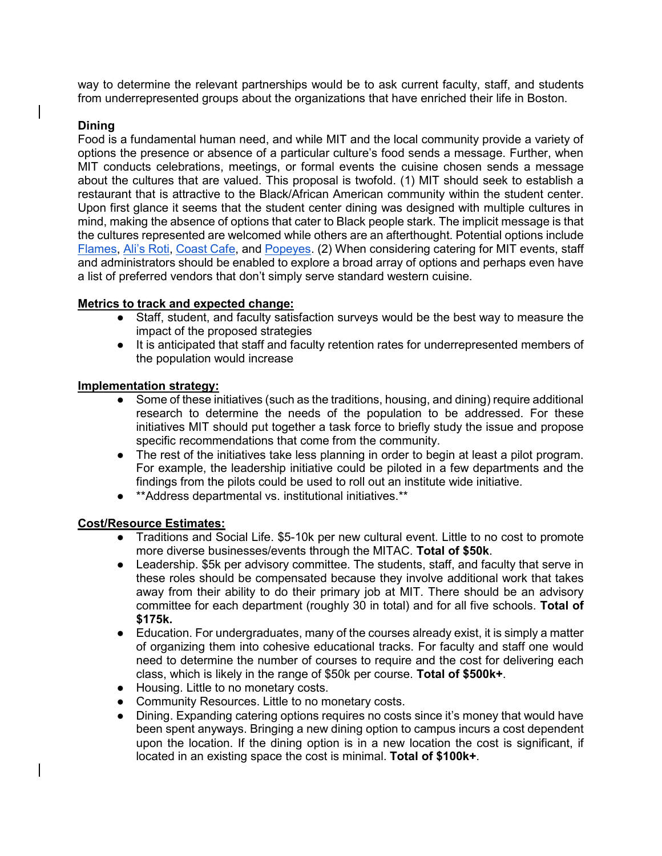way to determine the relevant partnerships would be to ask current faculty, staff, and students from underrepresented groups about the organizations that have enriched their life in Boston.

# **Dining**

Food is a fundamental human need, and while MIT and the local community provide a variety of options the presence or absence of a particular culture's food sends a message. Further, when MIT conducts celebrations, meetings, or formal events the cuisine chosen sends a message about the cultures that are valued. This proposal is twofold. (1) MIT should seek to establish a restaurant that is attractive to the Black/African American community within the student center. Upon first glance it seems that the student center dining was designed with multiple cultures in mind, making the absence of options that cater to Black people stark. The implicit message is that the cultures represented are welcomed while others are an afterthought. Potential options include [Flames,](http://flamesjamaicanrestaurants.com/) [Ali's Roti,](https://www.yelp.com/biz/alis-roti-restaurant-and-takeout-roxbury-crossing) [Coast Cafe,](https://coastsoulcafe.com/) and [Popeyes.](https://www.popeyes.com/?%243p=a_google_adwords&%24always_deeplink=false&lpurl=https%3A%2F%2Fwww.popeyes.com%2F%3Fgclsrc%3Daw.ds%26&%7Ead_set_id=91215453054&%7Ecampaign_id=9127749555&%7Echannel=g&%7Ekeyword=popeyes&%7Eplacement=&gclid=Cj0KCQiA0fr_BRDaARIsAABw4EtuIBdrtpMrxe5bpz2lrv6ozACLXyXBL2KurXh8znbw5ZWz2i1x96YaAnElEALw_wcB&gclid=Cj0KCQiA0fr_BRDaARIsAABw4EtuIBdrtpMrxe5bpz2lrv6ozACLXyXBL2KurXh8znbw5ZWz2i1x96YaAnElEALw_wcB&gclsrc=aw.ds&_branch_match_id=781529334004546529) (2) When considering catering for MIT events, staff and administrators should be enabled to explore a broad array of options and perhaps even have a list of preferred vendors that don't simply serve standard western cuisine.

# **Metrics to track and expected change:**

- Staff, student, and faculty satisfaction surveys would be the best way to measure the impact of the proposed strategies
- It is anticipated that staff and faculty retention rates for underrepresented members of the population would increase

# **Implementation strategy:**

- Some of these initiatives (such as the traditions, housing, and dining) require additional research to determine the needs of the population to be addressed. For these initiatives MIT should put together a task force to briefly study the issue and propose specific recommendations that come from the community.
- The rest of the initiatives take less planning in order to begin at least a pilot program. For example, the leadership initiative could be piloted in a few departments and the findings from the pilots could be used to roll out an institute wide initiative.
- \*\*Address departmental vs. institutional initiatives.\*\*

#### **Cost/Resource Estimates:**

- Traditions and Social Life. \$5-10k per new cultural event. Little to no cost to promote more diverse businesses/events through the MITAC. **Total of \$50k**.
- Leadership. \$5k per advisory committee. The students, staff, and faculty that serve in these roles should be compensated because they involve additional work that takes away from their ability to do their primary job at MIT. There should be an advisory committee for each department (roughly 30 in total) and for all five schools. **Total of \$175k.**
- Education. For undergraduates, many of the courses already exist, it is simply a matter of organizing them into cohesive educational tracks. For faculty and staff one would need to determine the number of courses to require and the cost for delivering each class, which is likely in the range of \$50k per course. **Total of \$500k+**.
- Housing. Little to no monetary costs.
- Community Resources. Little to no monetary costs.
- Dining. Expanding catering options requires no costs since it's money that would have been spent anyways. Bringing a new dining option to campus incurs a cost dependent upon the location. If the dining option is in a new location the cost is significant, if located in an existing space the cost is minimal. **Total of \$100k+**.